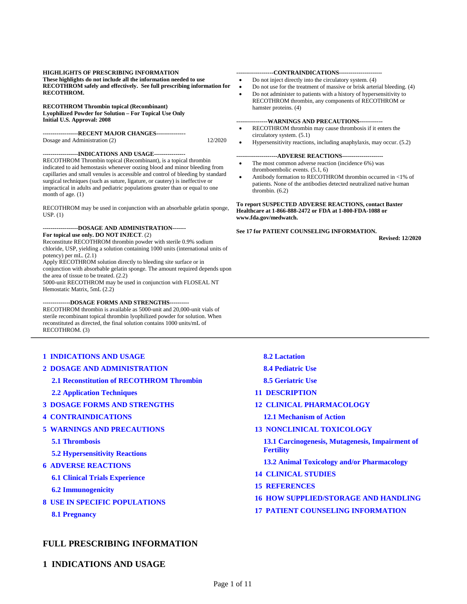#### **HIGHLIGHTS OF PRESCRIBING INFORMATION**

**These highlights do not include all the information needed to use RECOTHROM safely and effectively. See full prescribing information for RECOTHROM.**

#### **RECOTHROM Thrombin topical (Recombinant)**

**Lyophilized Powder for Solution – For Topical Use Only Initial U.S. Approval: 2008**

**------------------RECENT MAJOR CHANGES---------------**  Dosage and Administration (2) 12/2020

#### **------------------INDICATIONS AND USAGE----------------**

RECOTHROM Thrombin topical (Recombinant), is a topical thrombin indicated to aid hemostasis whenever oozing blood and minor bleeding from capillaries and small venules is accessible and control of bleeding by standard surgical techniques (such as suture, ligature, or cautery) is ineffective or impractical in adults and pediatric populations greater than or equal to one month of age. (1)

RECOTHROM may be used in conjunction with an absorbable gelatin sponge, USP. (1)

#### **------------------DOSAGE AND ADMINISTRATION------- For topical use only. DO NOT INJECT**. (2)

Reconstitute RECOTHROM thrombin powder with sterile 0.9% sodium chloride, USP, yielding a solution containing 1000 units (international units of potency) per mL. (2.1)

Apply RECOTHROM solution directly to bleeding site surface or in conjunction with absorbable gelatin sponge. The amount required depends upon the area of tissue to be treated. (2.2)

5000-unit RECOTHROM may be used in conjunction with FLOSEAL NT Hemostatic Matrix, 5mL (2.2)

#### **--------------DOSAGE FORMS AND STRENGTHS----------**

RECOTHROM thrombin is available as 5000-unit and 20,000-unit vials of sterile recombinant topical thrombin lyophilized powder for solution. When reconstituted as directed, the final solution contains 1000 units/mL of RECOTHROM. (3)

#### **[1 INDICATIONS AND USAGE](#page-0-0)**

**[2 DOSAGE AND ADMINISTRATION](#page-1-0)**

**[2.1 Reconstitution of RECOTHROM Thrombin](#page-1-1)**

#### **[2.2 Application Techniques](#page-2-0)**

- **[3 DOSAGE FORMS AND STRENGTHS](#page-2-1)**
- **[4 CONTRAINDICATIONS](#page-3-0)**
- **[5 WARNINGS AND PRECAUTIONS](#page-3-1)**

#### **[5.1 Thrombosis](#page-3-2)**

**[5.2 Hypersensitivity Reactions](#page-3-3)**

- **[6 ADVERSE REACTIONS](#page-3-4)**
	- **[6.1 Clinical Trials Experience](#page-3-5)**
	- **[6.2 Immunogenicity](#page-4-0)**
- **[8 USE IN SPECIFIC POPULATIONS](#page-5-0)**

**[8.1 Pregnancy](#page-5-1)**

#### **FULL PRESCRIBING INFORMATION**

<span id="page-0-0"></span>**1 INDICATIONS AND USAGE**

#### **-------------------CONTRAINDICATIONS----------------------**

- Do not inject directly into the circulatory system. (4)
- Do not use for the treatment of massive or brisk arterial bleeding. (4)
- Do not administer to patients with a history of hypersensitivity to RECOTHROM thrombin, any components of RECOTHROM or hamster proteins. (4)

#### **----------------WARNINGS AND PRECAUTIONS------------**

- RECOTHROM thrombin may cause thrombosis if it enters the circulatory system. (5.1)
- Hypersensitivity reactions, including anaphylaxis, may occur. (5.2)

#### **---------------------ADVERSE REACTIONS---------------------**

- The most common adverse reaction (incidence 6%) was thromboembolic events. (5.1, 6)
- Antibody formation to RECOTHROM thrombin occurred in <1% of patients. None of the antibodies detected neutralized native human thrombin. (6.2)

**To report SUSPECTED ADVERSE REACTIONS, contact Baxter Healthcare at 1-866-888-2472 or FDA at 1-800-FDA-1088 or www.fda.gov/medwatch.**

#### **See 17 for PATIENT COUNSELING INFORMATION.**

**Revised: 12/2020**

#### **[8.2 Lactation](#page-5-2)**

**[8.4 Pediatric Use](#page-5-3)**

#### **[8.5 Geriatric Use](#page-6-0)**

- **[11 DESCRIPTION](#page-7-0)**
- **[12 CLINICAL PHARMACOLOGY](#page-7-1)**

#### **[12.1 Mechanism of Action](#page-7-2)**

#### **[13 NONCLINICAL TOXICOLOGY](#page-7-3)**

**[13.1 Carcinogenesis, Mutagenesis, Impairment of](#page-7-4)  [Fertility](#page-7-4)**

- **[13.2 Animal Toxicology and/or Pharmacology](#page-7-5)**
- **[14 CLINICAL STUDIES](#page-8-0)**
- **[15 REFERENCES](#page-9-0)**
- **[16 HOW SUPPLIED/STORAGE AND HANDLING](#page-9-1)**

#### **[17 PATIENT COUNSELING INFORMATION](#page-10-0)**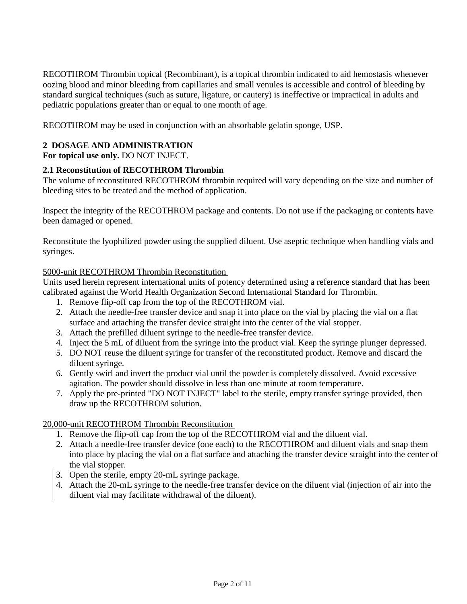<span id="page-1-2"></span>RECOTHROM Thrombin topical (Recombinant), is a topical thrombin indicated to aid hemostasis whenever oozing blood and minor bleeding from capillaries and small venules is accessible and control of bleeding by standard surgical techniques (such as suture, ligature, or cautery) is ineffective or impractical in adults and pediatric populations greater than or equal to one month of age.

<span id="page-1-0"></span>RECOTHROM may be used in conjunction with an absorbable gelatin sponge, USP.

## **2 DOSAGE AND ADMINISTRATION**

<span id="page-1-1"></span>**For topical use only.** DO NOT INJECT.

## **2.1 Reconstitution of RECOTHROM Thrombin**

The volume of reconstituted RECOTHROM thrombin required will vary depending on the size and number of bleeding sites to be treated and the method of application.

Inspect the integrity of the RECOTHROM package and contents. Do not use if the packaging or contents have been damaged or opened.

Reconstitute the lyophilized powder using the supplied diluent. Use aseptic technique when handling vials and syringes.

### 5000-unit RECOTHROM Thrombin Reconstitution

Units used herein represent international units of potency determined using a reference standard that has been calibrated against the World Health Organization Second International Standard for Thrombin.

- 1. Remove flip-off cap from the top of the RECOTHROM vial.
- 2. Attach the needle-free transfer device and snap it into place on the vial by placing the vial on a flat surface and attaching the transfer device straight into the center of the vial stopper.
- 3. Attach the prefilled diluent syringe to the needle-free transfer device.
- 4. Inject the 5 mL of diluent from the syringe into the product vial. Keep the syringe plunger depressed.
- 5. DO NOT reuse the diluent syringe for transfer of the reconstituted product. Remove and discard the diluent syringe.
- 6. Gently swirl and invert the product vial until the powder is completely dissolved. Avoid excessive agitation. The powder should dissolve in less than one minute at room temperature.
- 7. Apply the pre-printed "DO NOT INJECT" label to the sterile, empty transfer syringe provided, then draw up the RECOTHROM solution.

## 20,000-unit RECOTHROM Thrombin Reconstitution

- 1. Remove the flip-off cap from the top of the RECOTHROM vial and the diluent vial.
- 2. Attach a needle-free transfer device (one each) to the RECOTHROM and diluent vials and snap them into place by placing the vial on a flat surface and attaching the transfer device straight into the center of the vial stopper.
- 3. Open the sterile, empty 20-mL syringe package.
- 4. Attach the 20-mL syringe to the needle-free transfer device on the diluent vial (injection of air into the diluent vial may facilitate withdrawal of the diluent).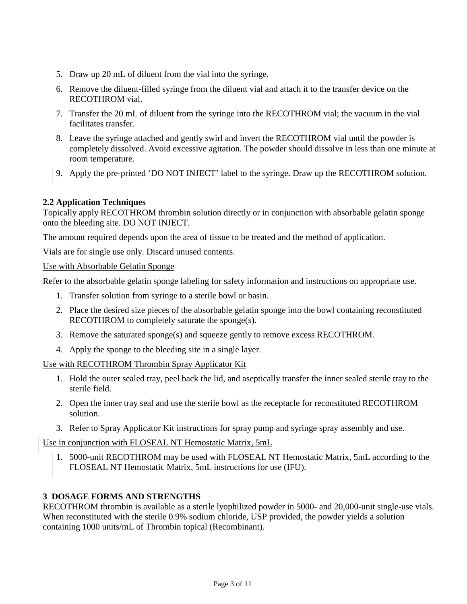- 5. Draw up 20 mL of diluent from the vial into the syringe.
- 6. Remove the diluent-filled syringe from the diluent vial and attach it to the transfer device on the RECOTHROM vial.
- 7. Transfer the 20 mL of diluent from the syringe into the RECOTHROM vial; the vacuum in the vial facilitates transfer.
- 8. Leave the syringe attached and gently swirl and invert the RECOTHROM vial until the powder is completely dissolved. Avoid excessive agitation. The powder should dissolve in less than one minute at room temperature.
- 9. Apply the pre-printed 'DO NOT INJECT' label to the syringe. Draw up the RECOTHROM solution.

# <span id="page-2-0"></span>**2.2 Application Techniques**

Topically apply RECOTHROM thrombin solution directly or in conjunction with absorbable gelatin sponge onto the bleeding site. DO NOT INJECT.

The amount required depends upon the area of tissue to be treated and the method of application.

Vials are for single use only. Discard unused contents.

## Use with Absorbable Gelatin Sponge

Refer to the absorbable gelatin sponge labeling for safety information and instructions on appropriate use.

- 1. Transfer solution from syringe to a sterile bowl or basin.
- 2. Place the desired size pieces of the absorbable gelatin sponge into the bowl containing reconstituted RECOTHROM to completely saturate the sponge(s).
- 3. Remove the saturated sponge(s) and squeeze gently to remove excess RECOTHROM.
- 4. Apply the sponge to the bleeding site in a single layer.

Use with RECOTHROM Thrombin Spray Applicator Kit

- 1. Hold the outer sealed tray, peel back the lid, and aseptically transfer the inner sealed sterile tray to the sterile field.
- 2. Open the inner tray seal and use the sterile bowl as the receptacle for reconstituted RECOTHROM solution.
- 3. Refer to Spray Applicator Kit instructions for spray pump and syringe spray assembly and use.

Use in conjunction with FLOSEAL NT Hemostatic Matrix, 5mL

1. 5000-unit RECOTHROM may be used with FLOSEAL NT Hemostatic Matrix, 5mL according to the FLOSEAL NT Hemostatic Matrix, 5mL instructions for use (IFU).

# <span id="page-2-1"></span>**3 DOSAGE FORMS AND STRENGTHS**

RECOTHROM thrombin is available as a sterile lyophilized powder in 5000- and 20,000-unit single-use vials. When reconstituted with the sterile 0.9% sodium chloride, USP provided, the powder yields a solution containing 1000 units/mL of Thrombin topical (Recombinant).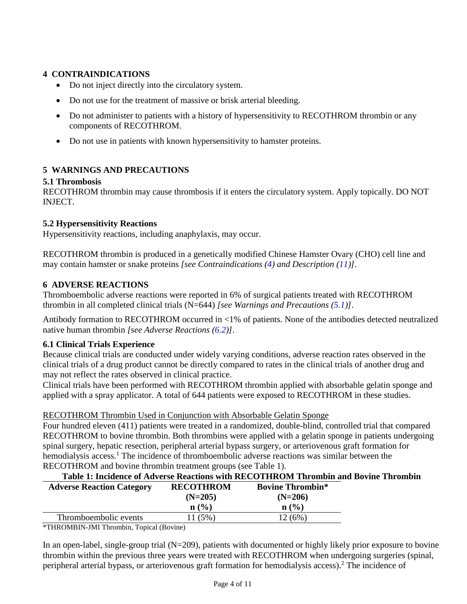# <span id="page-3-7"></span><span id="page-3-6"></span><span id="page-3-0"></span>**4 CONTRAINDICATIONS**

- Do not inject directly into the circulatory system.
- Do not use for the treatment of massive or brisk arterial bleeding.
- Do not administer to patients with a history of hypersensitivity to RECOTHROM thrombin or any components of RECOTHROM.
- Do not use in patients with known hypersensitivity to hamster proteins.

# <span id="page-3-2"></span><span id="page-3-1"></span>**5 WARNINGS AND PRECAUTIONS**

## **5.1 Thrombosis**

<span id="page-3-3"></span>RECOTHROM thrombin may cause thrombosis if it enters the circulatory system. Apply topically. DO NOT INJECT.

## **5.2 Hypersensitivity Reactions**

Hypersensitivity reactions, including anaphylaxis, may occur.

RECOTHROM thrombin is produced in a genetically modified Chinese Hamster Ovary (CHO) cell line and may contain hamster or snake proteins *[see Contraindications ([4](#page-3-6)) and Description [\(11](#page-7-6))]*.

## <span id="page-3-4"></span>**6 ADVERSE REACTIONS**

Thromboembolic adverse reactions were reported in 6% of surgical patients treated with RECOTHROM thrombin in all completed clinical trials (N=644) *[see Warnings and Precautions [\(5.1](#page-3-7))]*.

Antibody formation to RECOTHROM occurred in <1% of patients. None of the antibodies detected neutralized native human thrombin *[see Adverse Reactions ([6.2](#page-4-1))]*.

# <span id="page-3-5"></span>**6.1 Clinical Trials Experience**

Because clinical trials are conducted under widely varying conditions, adverse reaction rates observed in the clinical trials of a drug product cannot be directly compared to rates in the clinical trials of another drug and may not reflect the rates observed in clinical practice.

Clinical trials have been performed with RECOTHROM thrombin applied with absorbable gelatin sponge and applied with a spray applicator. A total of 644 patients were exposed to RECOTHROM in these studies.

## RECOTHROM Thrombin Used in Conjunction with Absorbable Gelatin Sponge

Four hundred eleven (411) patients were treated in a randomized, double-blind, controlled trial that compared RECOTHROM to bovine thrombin. Both thrombins were applied with a gelatin sponge in patients undergoing spinal surgery, hepatic resection, peripheral arterial bypass surgery, or arteriovenous graft formation for hemodialysis access.<sup>1</sup> The incidence of thromboembolic adverse reactions was similar between the RECOTHROM and bovine thrombin treatment groups (see Table 1).

| Table 1: Incidence of Adverse Reactions with RECOTHROM Thrombin and Bovine Thrombin |                  |                         |  |  |
|-------------------------------------------------------------------------------------|------------------|-------------------------|--|--|
| <b>Adverse Reaction Category</b>                                                    | <b>RECOTHROM</b> | <b>Bovine Thrombin*</b> |  |  |
|                                                                                     | $(N=205)$        | $(N=206)$               |  |  |
|                                                                                     | n(%)             | n (% )                  |  |  |
| Thromboembolic events                                                               | 11 (5%)          | 12(6%)                  |  |  |
|                                                                                     |                  |                         |  |  |

\*THROMBIN-JMI Thrombin, Topical (Bovine)

In an open-label, single-group trial (N=209), patients with documented or highly likely prior exposure to bovine thrombin within the previous three years were treated with RECOTHROM when undergoing surgeries (spinal, peripheral arterial bypass, or arteriovenous graft formation for hemodialysis access).<sup>2</sup> The incidence of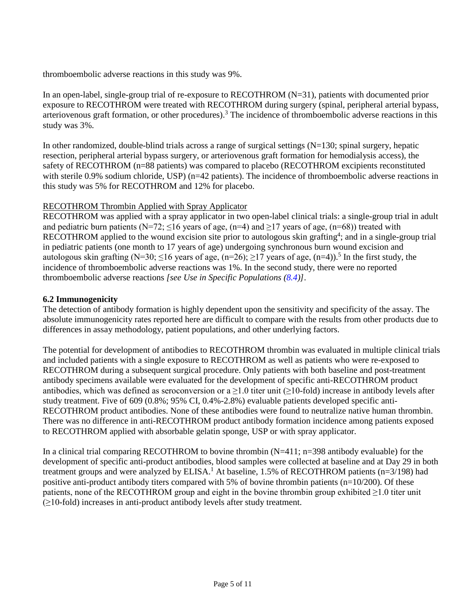<span id="page-4-1"></span>thromboembolic adverse reactions in this study was 9%.

In an open-label, single-group trial of re-exposure to RECOTHROM (N=31), patients with documented prior exposure to RECOTHROM were treated with RECOTHROM during surgery (spinal, peripheral arterial bypass, arteriovenous graft formation, or other procedures).<sup>3</sup> The incidence of thromboembolic adverse reactions in this study was 3%.

In other randomized, double-blind trials across a range of surgical settings  $(N=130)$ ; spinal surgery, hepatic resection, peripheral arterial bypass surgery, or arteriovenous graft formation for hemodialysis access), the safety of RECOTHROM (n=88 patients) was compared to placebo (RECOTHROM excipients reconstituted with sterile 0.9% sodium chloride, USP) (n=42 patients). The incidence of thromboembolic adverse reactions in this study was 5% for RECOTHROM and 12% for placebo.

## RECOTHROM Thrombin Applied with Spray Applicator

RECOTHROM was applied with a spray applicator in two open-label clinical trials: a single-group trial in adult and pediatric burn patients (N=72;  $\leq$ 16 years of age, (n=4) and  $\geq$ 17 years of age, (n=68)) treated with RECOTHROM applied to the wound excision site prior to autologous skin grafting<sup>4</sup>; and in a single-group trial in pediatric patients (one month to 17 years of age) undergoing synchronous burn wound excision and autologous skin grafting (N=30;  $\leq$ 16 years of age, (n=26);  $\geq$ 17 years of age, (n=4)).<sup>5</sup> In the first study, the incidence of thromboembolic adverse reactions was 1%. In the second study, there were no reported thromboembolic adverse reactions *[see Use in Specific Populations ([8.4](#page-5-4))]*.

## <span id="page-4-0"></span>**6.2 Immunogenicity**

The detection of antibody formation is highly dependent upon the sensitivity and specificity of the assay. The absolute immunogenicity rates reported here are difficult to compare with the results from other products due to differences in assay methodology, patient populations, and other underlying factors.

The potential for development of antibodies to RECOTHROM thrombin was evaluated in multiple clinical trials and included patients with a single exposure to RECOTHROM as well as patients who were re-exposed to RECOTHROM during a subsequent surgical procedure. Only patients with both baseline and post-treatment antibody specimens available were evaluated for the development of specific anti-RECOTHROM product antibodies, which was defined as seroconversion or a  $\geq$ 1.0 titer unit ( $\geq$ 10-fold) increase in antibody levels after study treatment. Five of 609 (0.8%; 95% CI, 0.4%-2.8%) evaluable patients developed specific anti-RECOTHROM product antibodies. None of these antibodies were found to neutralize native human thrombin. There was no difference in anti-RECOTHROM product antibody formation incidence among patients exposed to RECOTHROM applied with absorbable gelatin sponge, USP or with spray applicator.

In a clinical trial comparing RECOTHROM to bovine thrombin (N=411; n=398 antibody evaluable) for the development of specific anti-product antibodies, blood samples were collected at baseline and at Day 29 in both treatment groups and were analyzed by ELISA.<sup>1</sup> At baseline, 1.5% of RECOTHROM patients (n=3/198) had positive anti-product antibody titers compared with 5% of bovine thrombin patients (n=10/200). Of these patients, none of the RECOTHROM group and eight in the bovine thrombin group exhibited ≥1.0 titer unit (≥10-fold) increases in anti-product antibody levels after study treatment.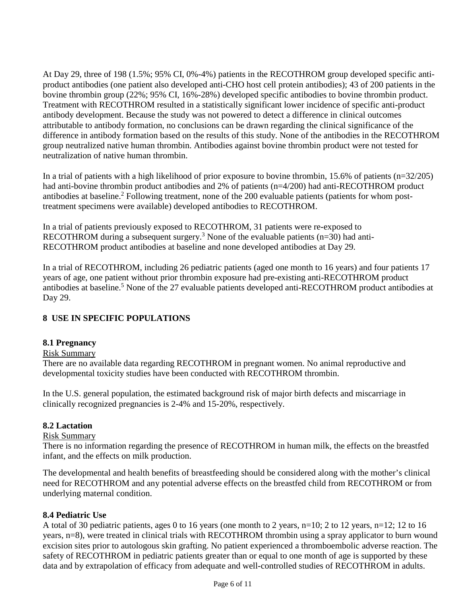<span id="page-5-4"></span>At Day 29, three of 198 (1.5%; 95% CI, 0%-4%) patients in the RECOTHROM group developed specific antiproduct antibodies (one patient also developed anti-CHO host cell protein antibodies); 43 of 200 patients in the bovine thrombin group (22%; 95% CI, 16%-28%) developed specific antibodies to bovine thrombin product. Treatment with RECOTHROM resulted in a statistically significant lower incidence of specific anti-product antibody development. Because the study was not powered to detect a difference in clinical outcomes attributable to antibody formation, no conclusions can be drawn regarding the clinical significance of the difference in antibody formation based on the results of this study. None of the antibodies in the RECOTHROM group neutralized native human thrombin. Antibodies against bovine thrombin product were not tested for neutralization of native human thrombin.

In a trial of patients with a high likelihood of prior exposure to bovine thrombin, 15.6% of patients (n=32/205) had anti-bovine thrombin product antibodies and 2% of patients (n=4/200) had anti-RECOTHROM product antibodies at baseline.<sup>2</sup> Following treatment, none of the 200 evaluable patients (patients for whom posttreatment specimens were available) developed antibodies to RECOTHROM.

In a trial of patients previously exposed to RECOTHROM, 31 patients were re-exposed to RECOTHROM during a subsequent surgery.<sup>3</sup> None of the evaluable patients ( $n=30$ ) had anti-RECOTHROM product antibodies at baseline and none developed antibodies at Day 29.

In a trial of RECOTHROM, including 26 pediatric patients (aged one month to 16 years) and four patients 17 years of age, one patient without prior thrombin exposure had pre-existing anti-RECOTHROM product antibodies at baseline.<sup>5</sup> None of the 27 evaluable patients developed anti-RECOTHROM product antibodies at Day 29.

# <span id="page-5-0"></span>**8 USE IN SPECIFIC POPULATIONS**

## <span id="page-5-1"></span>**8.1 Pregnancy**

## Risk Summary

There are no available data regarding RECOTHROM in pregnant women. No animal reproductive and developmental toxicity studies have been conducted with RECOTHROM thrombin.

In the U.S. general population, the estimated background risk of major birth defects and miscarriage in clinically recognized pregnancies is 2-4% and 15-20%, respectively.

## <span id="page-5-2"></span>**8.2 Lactation**

## Risk Summary

There is no information regarding the presence of RECOTHROM in human milk, the effects on the breastfed infant, and the effects on milk production.

The developmental and health benefits of breastfeeding should be considered along with the mother's clinical need for RECOTHROM and any potential adverse effects on the breastfed child from RECOTHROM or from underlying maternal condition.

## <span id="page-5-3"></span>**8.4 Pediatric Use**

A total of 30 pediatric patients, ages 0 to 16 years (one month to 2 years, n=10; 2 to 12 years, n=12; 12 to 16 years, n=8), were treated in clinical trials with RECOTHROM thrombin using a spray applicator to burn wound excision sites prior to autologous skin grafting. No patient experienced a thromboembolic adverse reaction. The safety of RECOTHROM in pediatric patients greater than or equal to one month of age is supported by these data and by extrapolation of efficacy from adequate and well-controlled studies of RECOTHROM in adults.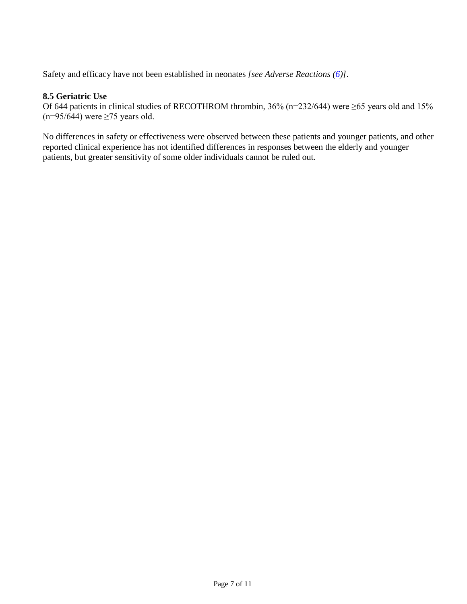<span id="page-6-0"></span>Safety and efficacy have not been established in neonates *[see Adverse Reactions [\(6\)](#page-3-7)]*.

## **8.5 Geriatric Use**

Of 644 patients in clinical studies of RECOTHROM thrombin, 36% (n=232/644) were ≥65 years old and 15% (n=95/644) were  $\geq$ 75 years old.

No differences in safety or effectiveness were observed between these patients and younger patients, and other reported clinical experience has not identified differences in responses between the elderly and younger patients, but greater sensitivity of some older individuals cannot be ruled out.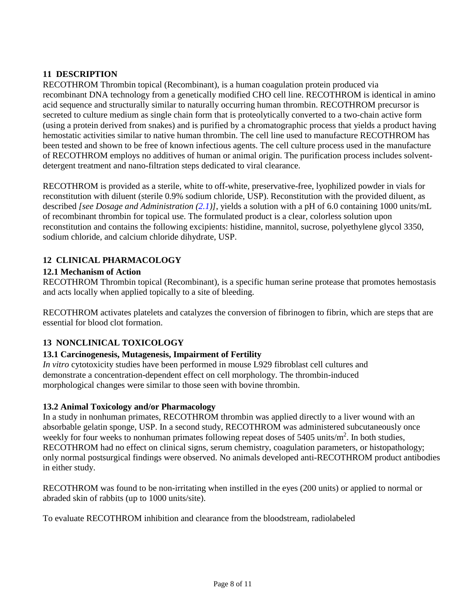# <span id="page-7-6"></span><span id="page-7-0"></span>**11 DESCRIPTION**

RECOTHROM Thrombin topical (Recombinant), is a human coagulation protein produced via recombinant DNA technology from a genetically modified CHO cell line. RECOTHROM is identical in amino acid sequence and structurally similar to naturally occurring human thrombin. RECOTHROM precursor is secreted to culture medium as single chain form that is proteolytically converted to a two-chain active form (using a protein derived from snakes) and is purified by a chromatographic process that yields a product having hemostatic activities similar to native human thrombin. The cell line used to manufacture RECOTHROM has been tested and shown to be free of known infectious agents. The cell culture process used in the manufacture of RECOTHROM employs no additives of human or animal origin. The purification process includes solventdetergent treatment and nano-filtration steps dedicated to viral clearance.

RECOTHROM is provided as a sterile, white to off-white, preservative-free, lyophilized powder in vials for reconstitution with diluent (sterile 0.9% sodium chloride, USP). Reconstitution with the provided diluent, as described *[see Dosage and Administration [\(2.1\)](#page-1-2)]*, yields a solution with a pH of 6.0 containing 1000 units/mL of recombinant thrombin for topical use. The formulated product is a clear, colorless solution upon reconstitution and contains the following excipients: histidine, mannitol, sucrose, polyethylene glycol 3350, sodium chloride, and calcium chloride dihydrate, USP.

# <span id="page-7-2"></span><span id="page-7-1"></span>**12 CLINICAL PHARMACOLOGY**

## **12.1 Mechanism of Action**

RECOTHROM Thrombin topical (Recombinant), is a specific human serine protease that promotes hemostasis and acts locally when applied topically to a site of bleeding.

RECOTHROM activates platelets and catalyzes the conversion of fibrinogen to fibrin, which are steps that are essential for blood clot formation.

# <span id="page-7-4"></span><span id="page-7-3"></span>**13 NONCLINICAL TOXICOLOGY**

# **13.1 Carcinogenesis, Mutagenesis, Impairment of Fertility**

*In vitro* cytotoxicity studies have been performed in mouse L929 fibroblast cell cultures and demonstrate a concentration-dependent effect on cell morphology. The thrombin-induced morphological changes were similar to those seen with bovine thrombin.

## <span id="page-7-5"></span>**13.2 Animal Toxicology and/or Pharmacology**

In a study in nonhuman primates, RECOTHROM thrombin was applied directly to a liver wound with an absorbable gelatin sponge, USP. In a second study, RECOTHROM was administered subcutaneously once weekly for four weeks to nonhuman primates following repeat doses of 5405 units/m<sup>2</sup>. In both studies, RECOTHROM had no effect on clinical signs, serum chemistry, coagulation parameters, or histopathology; only normal postsurgical findings were observed. No animals developed anti-RECOTHROM product antibodies in either study.

RECOTHROM was found to be non-irritating when instilled in the eyes (200 units) or applied to normal or abraded skin of rabbits (up to 1000 units/site).

To evaluate RECOTHROM inhibition and clearance from the bloodstream, radiolabeled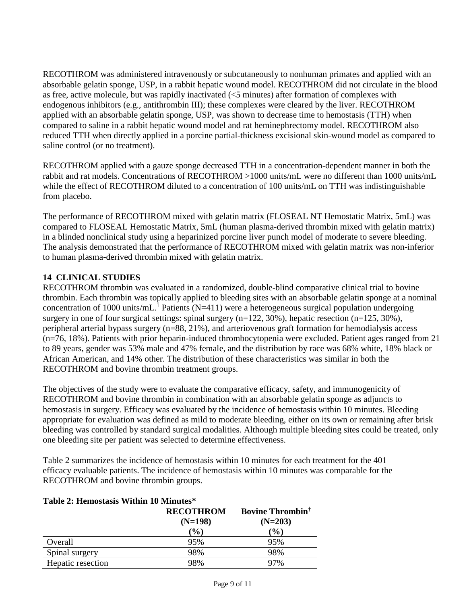RECOTHROM was administered intravenously or subcutaneously to nonhuman primates and applied with an absorbable gelatin sponge, USP, in a rabbit hepatic wound model. RECOTHROM did not circulate in the blood as free, active molecule, but was rapidly inactivated (<5 minutes) after formation of complexes with endogenous inhibitors (e.g., antithrombin III); these complexes were cleared by the liver. RECOTHROM applied with an absorbable gelatin sponge, USP, was shown to decrease time to hemostasis (TTH) when compared to saline in a rabbit hepatic wound model and rat heminephrectomy model. RECOTHROM also reduced TTH when directly applied in a porcine partial-thickness excisional skin-wound model as compared to saline control (or no treatment).

RECOTHROM applied with a gauze sponge decreased TTH in a concentration-dependent manner in both the rabbit and rat models. Concentrations of RECOTHROM >1000 units/mL were no different than 1000 units/mL while the effect of RECOTHROM diluted to a concentration of 100 units/mL on TTH was indistinguishable from placebo.

The performance of RECOTHROM mixed with gelatin matrix (FLOSEAL NT Hemostatic Matrix, 5mL) was compared to FLOSEAL Hemostatic Matrix, 5mL (human plasma-derived thrombin mixed with gelatin matrix) in a blinded nonclinical study using a heparinized porcine liver punch model of moderate to severe bleeding. The analysis demonstrated that the performance of RECOTHROM mixed with gelatin matrix was non-inferior to human plasma-derived thrombin mixed with gelatin matrix.

# <span id="page-8-0"></span>**14 CLINICAL STUDIES**

RECOTHROM thrombin was evaluated in a randomized, double-blind comparative clinical trial to bovine thrombin. Each thrombin was topically applied to bleeding sites with an absorbable gelatin sponge at a nominal concentration of 1000 units/mL.<sup>1</sup> Patients (N=411) were a heterogeneous surgical population undergoing surgery in one of four surgical settings: spinal surgery (n=122, 30%), hepatic resection (n=125, 30%), peripheral arterial bypass surgery (n=88, 21%), and arteriovenous graft formation for hemodialysis access (n=76, 18%). Patients with prior heparin-induced thrombocytopenia were excluded. Patient ages ranged from 21 to 89 years, gender was 53% male and 47% female, and the distribution by race was 68% white, 18% black or African American, and 14% other. The distribution of these characteristics was similar in both the RECOTHROM and bovine thrombin treatment groups.

The objectives of the study were to evaluate the comparative efficacy, safety, and immunogenicity of RECOTHROM and bovine thrombin in combination with an absorbable gelatin sponge as adjuncts to hemostasis in surgery. Efficacy was evaluated by the incidence of hemostasis within 10 minutes. Bleeding appropriate for evaluation was defined as mild to moderate bleeding, either on its own or remaining after brisk bleeding was controlled by standard surgical modalities. Although multiple bleeding sites could be treated, only one bleeding site per patient was selected to determine effectiveness.

Table 2 summarizes the incidence of hemostasis within 10 minutes for each treatment for the 401 efficacy evaluable patients. The incidence of hemostasis within 10 minutes was comparable for the RECOTHROM and bovine thrombin groups.

| Table 2. Hemostasis Within To Minutes |                               |                                                  |  |  |
|---------------------------------------|-------------------------------|--------------------------------------------------|--|--|
|                                       | <b>RECOTHROM</b><br>$(N=198)$ | <b>Bovine Thrombin</b> <sup>†</sup><br>$(N=203)$ |  |  |
|                                       | $(\%)$                        | $\mathcal{O}_0$                                  |  |  |
| Overall                               | 95%                           | 95%                                              |  |  |
| Spinal surgery                        | 98%                           | 98%                                              |  |  |
| Hepatic resection                     | 98%                           | 97%                                              |  |  |

### **Table 2: Hemostasis Within 10 Minutes\***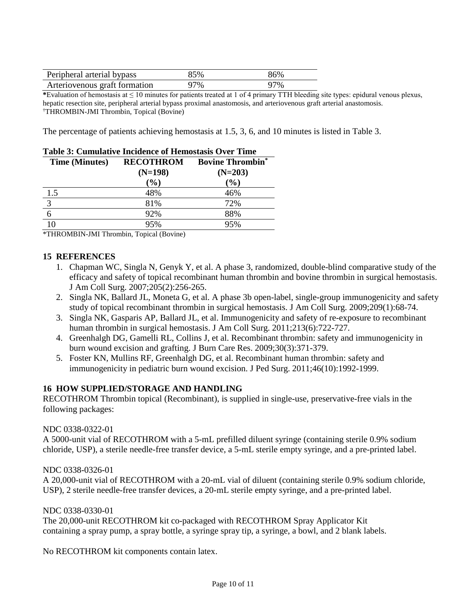| Peripheral arterial bypass    | 85% | 86% |
|-------------------------------|-----|-----|
| Arteriovenous graft formation | 97% | 97% |

**\***Evaluation of hemostasis at ≤ 10 minutes for patients treated at 1 of 4 primary TTH bleeding site types: epidural venous plexus, hepatic resection site, peripheral arterial bypass proximal anastomosis, and arteriovenous graft arterial anastomosis. † THROMBIN-JMI Thrombin, Topical (Bovine)

The percentage of patients achieving hemostasis at 1.5, 3, 6, and 10 minutes is listed in Table 3.

| <b>Table 3: Cumulative Incidence of Hemostasis Over Time</b> |                  |                         |  |  |
|--------------------------------------------------------------|------------------|-------------------------|--|--|
| <b>Time (Minutes)</b>                                        | <b>RECOTHROM</b> | <b>Bovine Thrombin*</b> |  |  |
|                                                              | $(N=198)$        | $(N=203)$               |  |  |
|                                                              | $(\%)$           | $(\%)$                  |  |  |
| 1.5                                                          | 48%              | 46%                     |  |  |
| $\overline{3}$                                               | 81%              | 72%                     |  |  |
| 6                                                            | 92%              | 88%                     |  |  |
|                                                              | 95%              | 95%                     |  |  |

<span id="page-9-0"></span>\*THROMBIN-JMI Thrombin, Topical (Bovine)

### **15 REFERENCES**

- 1. Chapman WC, Singla N, Genyk Y, et al. A phase 3, randomized, double-blind comparative study of the efficacy and safety of topical recombinant human thrombin and bovine thrombin in surgical hemostasis. J Am Coll Surg. 2007;205(2):256-265.
- 2. Singla NK, Ballard JL, Moneta G, et al. A phase 3b open-label, single-group immunogenicity and safety study of topical recombinant thrombin in surgical hemostasis. J Am Coll Surg. 2009;209(1):68-74.
- 3. Singla NK, Gasparis AP, Ballard JL, et al. Immunogenicity and safety of re-exposure to recombinant human thrombin in surgical hemostasis. J Am Coll Surg. 2011;213(6):722-727.
- 4. Greenhalgh DG, Gamelli RL, Collins J, et al. Recombinant thrombin: safety and immunogenicity in burn wound excision and grafting. J Burn Care Res. 2009;30(3):371-379.
- 5. Foster KN, Mullins RF, Greenhalgh DG, et al. Recombinant human thrombin: safety and immunogenicity in pediatric burn wound excision. J Ped Surg. 2011;46(10):1992-1999.

### <span id="page-9-1"></span>**16 HOW SUPPLIED/STORAGE AND HANDLING**

RECOTHROM Thrombin topical (Recombinant), is supplied in single-use, preservative-free vials in the following packages:

### NDC 0338-0322-01

A 5000-unit vial of RECOTHROM with a 5-mL prefilled diluent syringe (containing sterile 0.9% sodium chloride, USP), a sterile needle-free transfer device, a 5-mL sterile empty syringe, and a pre-printed label.

### NDC 0338-0326-01

A 20,000-unit vial of RECOTHROM with a 20-mL vial of diluent (containing sterile 0.9% sodium chloride, USP), 2 sterile needle-free transfer devices, a 20-mL sterile empty syringe, and a pre-printed label.

### NDC 0338-0330-01

The 20,000-unit RECOTHROM kit co-packaged with RECOTHROM Spray Applicator Kit containing a spray pump, a spray bottle, a syringe spray tip, a syringe, a bowl, and 2 blank labels.

No RECOTHROM kit components contain latex.